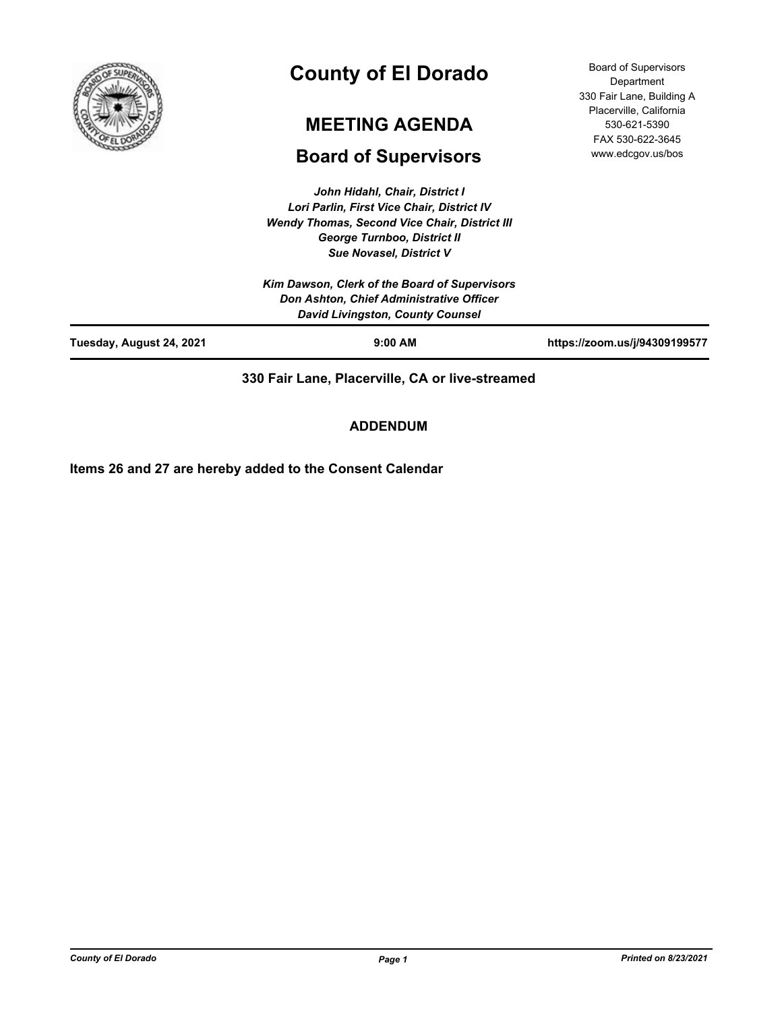

# **County of El Dorado**

## **MEETING AGENDA**

## **Board of Supervisors**

*John Hidahl, Chair, District I Lori Parlin, First Vice Chair, District IV Wendy Thomas, Second Vice Chair, District III George Turnboo, District II Sue Novasel, District V*

Board of Supervisors Department 330 Fair Lane, Building A Placerville, California 530-621-5390 FAX 530-622-3645 www.edcgov.us/bos

| Tuesday, August 24, 2021 | $9:00$ AM                                                                                                                            | https://zoom.us/j/94309199577 |
|--------------------------|--------------------------------------------------------------------------------------------------------------------------------------|-------------------------------|
|                          | Kim Dawson, Clerk of the Board of Supervisors<br>Don Ashton, Chief Administrative Officer<br><b>David Livingston, County Counsel</b> |                               |
|                          | <b>Sue Novasel, District V</b>                                                                                                       |                               |

**330 Fair Lane, Placerville, CA or live-streamed**

**ADDENDUM**

**Items 26 and 27 are hereby added to the Consent Calendar**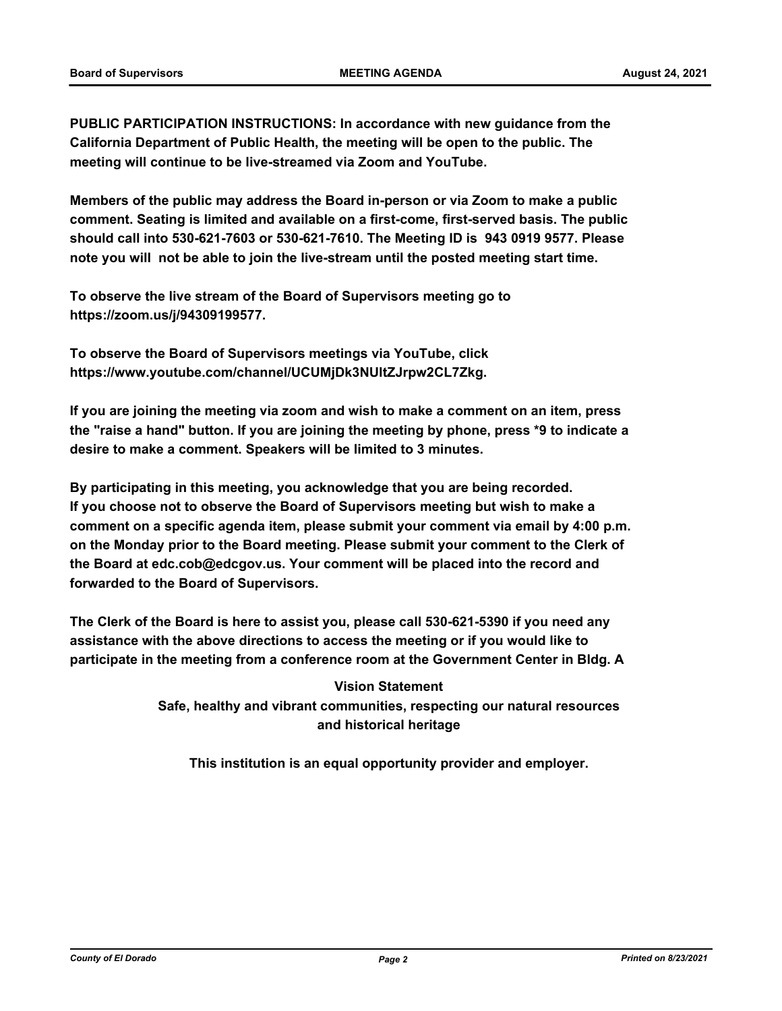**PUBLIC PARTICIPATION INSTRUCTIONS: In accordance with new guidance from the California Department of Public Health, the meeting will be open to the public. The meeting will continue to be live-streamed via Zoom and YouTube.**

**Members of the public may address the Board in-person or via Zoom to make a public comment. Seating is limited and available on a first-come, first-served basis. The public should call into 530-621-7603 or 530-621-7610. The Meeting ID is 943 0919 9577. Please note you will not be able to join the live-stream until the posted meeting start time.**

**To observe the live stream of the Board of Supervisors meeting go to https://zoom.us/j/94309199577.**

**To observe the Board of Supervisors meetings via YouTube, click https://www.youtube.com/channel/UCUMjDk3NUltZJrpw2CL7Zkg.**

**If you are joining the meeting via zoom and wish to make a comment on an item, press the "raise a hand" button. If you are joining the meeting by phone, press \*9 to indicate a desire to make a comment. Speakers will be limited to 3 minutes.**

**By participating in this meeting, you acknowledge that you are being recorded. If you choose not to observe the Board of Supervisors meeting but wish to make a comment on a specific agenda item, please submit your comment via email by 4:00 p.m. on the Monday prior to the Board meeting. Please submit your comment to the Clerk of the Board at edc.cob@edcgov.us. Your comment will be placed into the record and forwarded to the Board of Supervisors.**

**The Clerk of the Board is here to assist you, please call 530-621-5390 if you need any assistance with the above directions to access the meeting or if you would like to participate in the meeting from a conference room at the Government Center in Bldg. A**

> **Vision Statement Safe, healthy and vibrant communities, respecting our natural resources and historical heritage**

**This institution is an equal opportunity provider and employer.**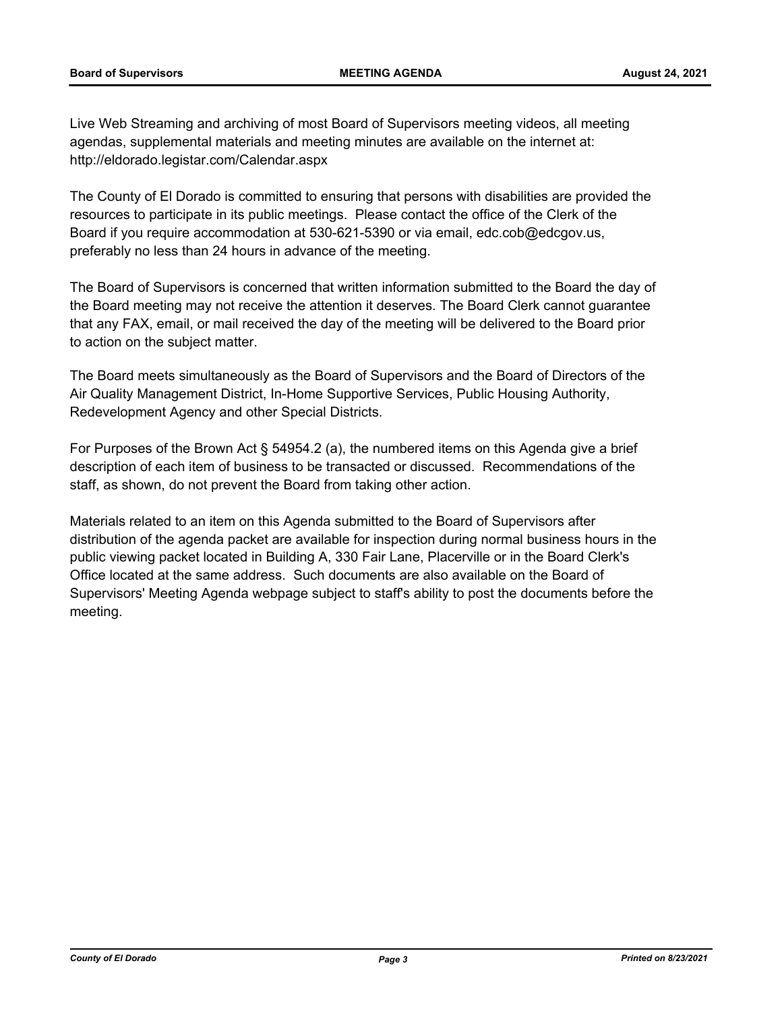Live Web Streaming and archiving of most Board of Supervisors meeting videos, all meeting agendas, supplemental materials and meeting minutes are available on the internet at: http://eldorado.legistar.com/Calendar.aspx

The County of El Dorado is committed to ensuring that persons with disabilities are provided the resources to participate in its public meetings. Please contact the office of the Clerk of the Board if you require accommodation at 530-621-5390 or via email, edc.cob@edcgov.us, preferably no less than 24 hours in advance of the meeting.

The Board of Supervisors is concerned that written information submitted to the Board the day of the Board meeting may not receive the attention it deserves. The Board Clerk cannot guarantee that any FAX, email, or mail received the day of the meeting will be delivered to the Board prior to action on the subject matter.

The Board meets simultaneously as the Board of Supervisors and the Board of Directors of the Air Quality Management District, In-Home Supportive Services, Public Housing Authority, Redevelopment Agency and other Special Districts.

For Purposes of the Brown Act § 54954.2 (a), the numbered items on this Agenda give a brief description of each item of business to be transacted or discussed. Recommendations of the staff, as shown, do not prevent the Board from taking other action.

Materials related to an item on this Agenda submitted to the Board of Supervisors after distribution of the agenda packet are available for inspection during normal business hours in the public viewing packet located in Building A, 330 Fair Lane, Placerville or in the Board Clerk's Office located at the same address. Such documents are also available on the Board of Supervisors' Meeting Agenda webpage subject to staff's ability to post the documents before the meeting.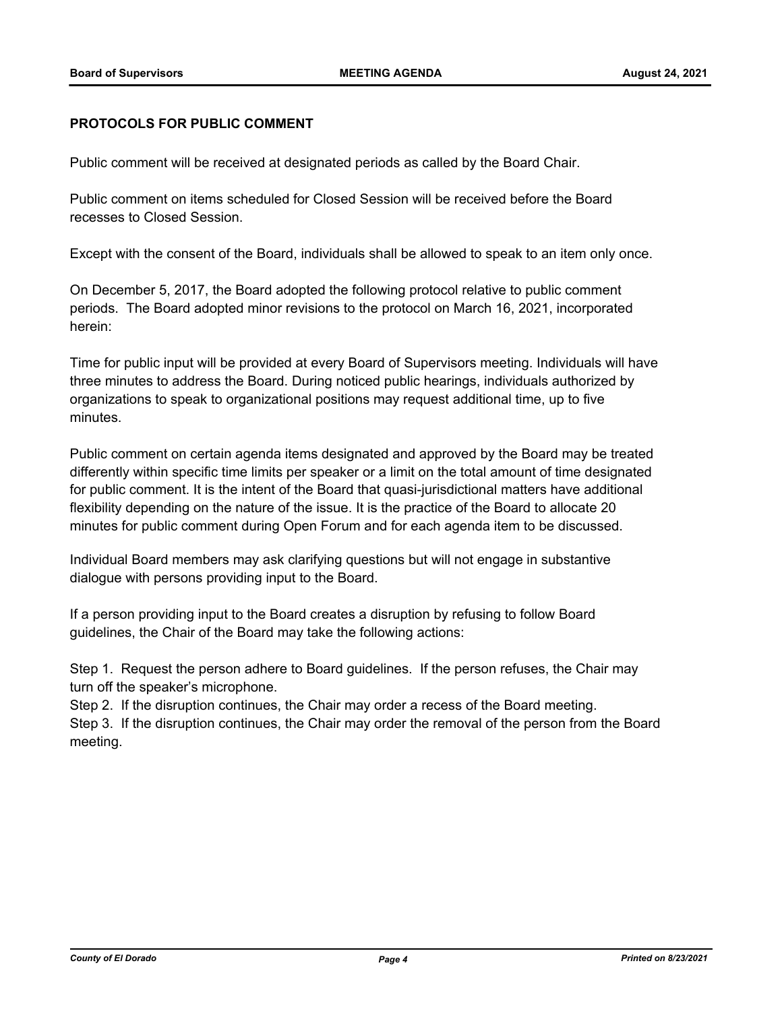#### **PROTOCOLS FOR PUBLIC COMMENT**

Public comment will be received at designated periods as called by the Board Chair.

Public comment on items scheduled for Closed Session will be received before the Board recesses to Closed Session.

Except with the consent of the Board, individuals shall be allowed to speak to an item only once.

On December 5, 2017, the Board adopted the following protocol relative to public comment periods. The Board adopted minor revisions to the protocol on March 16, 2021, incorporated herein:

Time for public input will be provided at every Board of Supervisors meeting. Individuals will have three minutes to address the Board. During noticed public hearings, individuals authorized by organizations to speak to organizational positions may request additional time, up to five minutes.

Public comment on certain agenda items designated and approved by the Board may be treated differently within specific time limits per speaker or a limit on the total amount of time designated for public comment. It is the intent of the Board that quasi-jurisdictional matters have additional flexibility depending on the nature of the issue. It is the practice of the Board to allocate 20 minutes for public comment during Open Forum and for each agenda item to be discussed.

Individual Board members may ask clarifying questions but will not engage in substantive dialogue with persons providing input to the Board.

If a person providing input to the Board creates a disruption by refusing to follow Board guidelines, the Chair of the Board may take the following actions:

Step 1. Request the person adhere to Board guidelines. If the person refuses, the Chair may turn off the speaker's microphone.

Step 2. If the disruption continues, the Chair may order a recess of the Board meeting.

Step 3. If the disruption continues, the Chair may order the removal of the person from the Board meeting.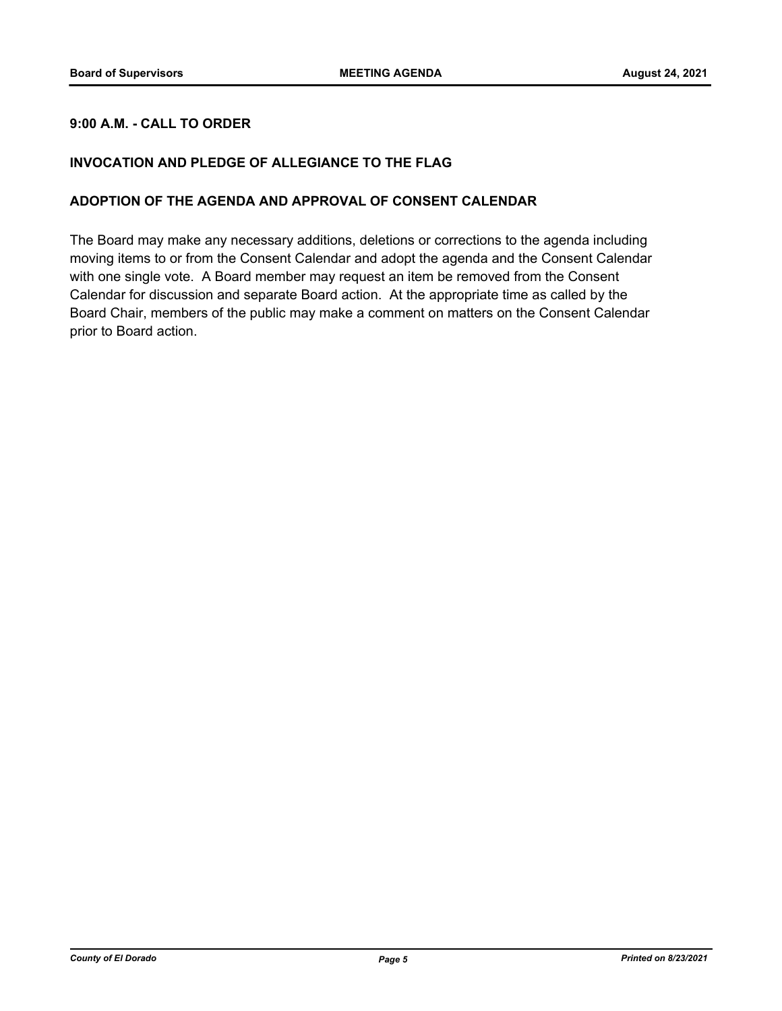## **9:00 A.M. - CALL TO ORDER**

## **INVOCATION AND PLEDGE OF ALLEGIANCE TO THE FLAG**

#### **ADOPTION OF THE AGENDA AND APPROVAL OF CONSENT CALENDAR**

The Board may make any necessary additions, deletions or corrections to the agenda including moving items to or from the Consent Calendar and adopt the agenda and the Consent Calendar with one single vote. A Board member may request an item be removed from the Consent Calendar for discussion and separate Board action. At the appropriate time as called by the Board Chair, members of the public may make a comment on matters on the Consent Calendar prior to Board action.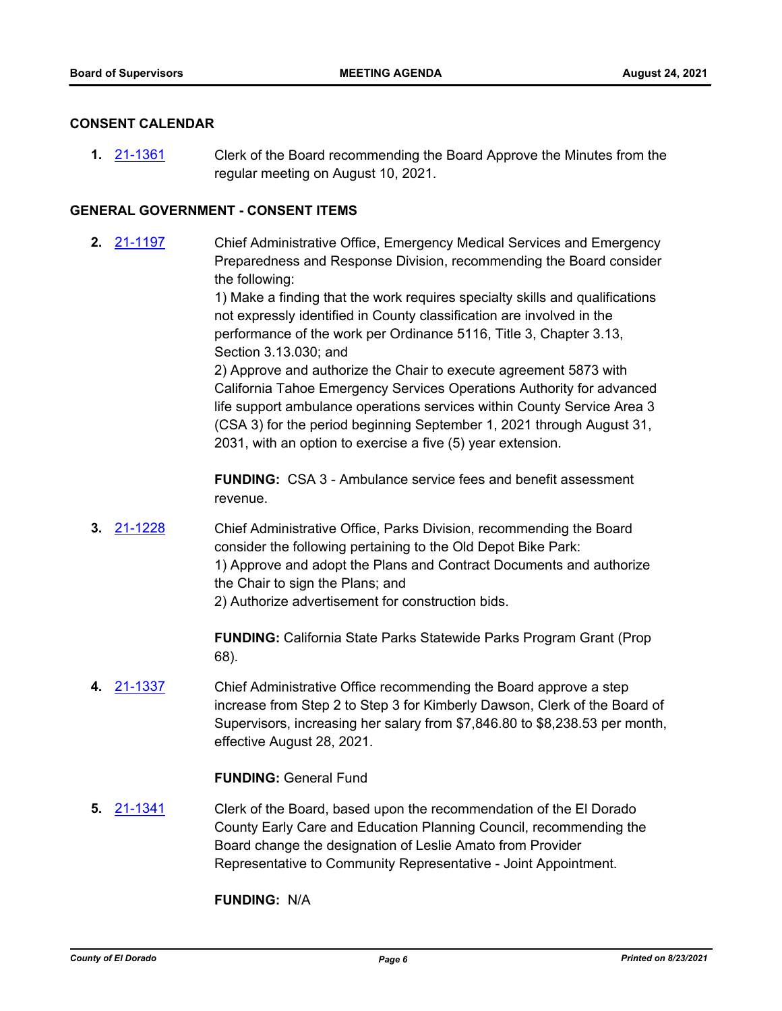#### **CONSENT CALENDAR**

**1.** [21-1361](http://eldorado.legistar.com/gateway.aspx?m=l&id=/matter.aspx?key=30256) Clerk of the Board recommending the Board Approve the Minutes from the regular meeting on August 10, 2021.

#### **GENERAL GOVERNMENT - CONSENT ITEMS**

**2.** [21-1197](http://eldorado.legistar.com/gateway.aspx?m=l&id=/matter.aspx?key=30092) Chief Administrative Office, Emergency Medical Services and Emergency Preparedness and Response Division, recommending the Board consider the following:

> 1) Make a finding that the work requires specialty skills and qualifications not expressly identified in County classification are involved in the performance of the work per Ordinance 5116, Title 3, Chapter 3.13, Section 3.13.030; and

> 2) Approve and authorize the Chair to execute agreement 5873 with California Tahoe Emergency Services Operations Authority for advanced life support ambulance operations services within County Service Area 3 (CSA 3) for the period beginning September 1, 2021 through August 31, 2031, with an option to exercise a five (5) year extension.

**FUNDING:** CSA 3 - Ambulance service fees and benefit assessment revenue.

**3.** [21-1228](http://eldorado.legistar.com/gateway.aspx?m=l&id=/matter.aspx?key=30123) Chief Administrative Office, Parks Division, recommending the Board consider the following pertaining to the Old Depot Bike Park: 1) Approve and adopt the Plans and Contract Documents and authorize the Chair to sign the Plans; and 2) Authorize advertisement for construction bids.

> **FUNDING:** California State Parks Statewide Parks Program Grant (Prop 68).

**4.** [21-1337](http://eldorado.legistar.com/gateway.aspx?m=l&id=/matter.aspx?key=30232) Chief Administrative Office recommending the Board approve a step increase from Step 2 to Step 3 for Kimberly Dawson, Clerk of the Board of Supervisors, increasing her salary from \$7,846.80 to \$8,238.53 per month, effective August 28, 2021.

## **FUNDING:** General Fund

**5.** [21-1341](http://eldorado.legistar.com/gateway.aspx?m=l&id=/matter.aspx?key=30236) Clerk of the Board, based upon the recommendation of the El Dorado County Early Care and Education Planning Council, recommending the Board change the designation of Leslie Amato from Provider Representative to Community Representative - Joint Appointment.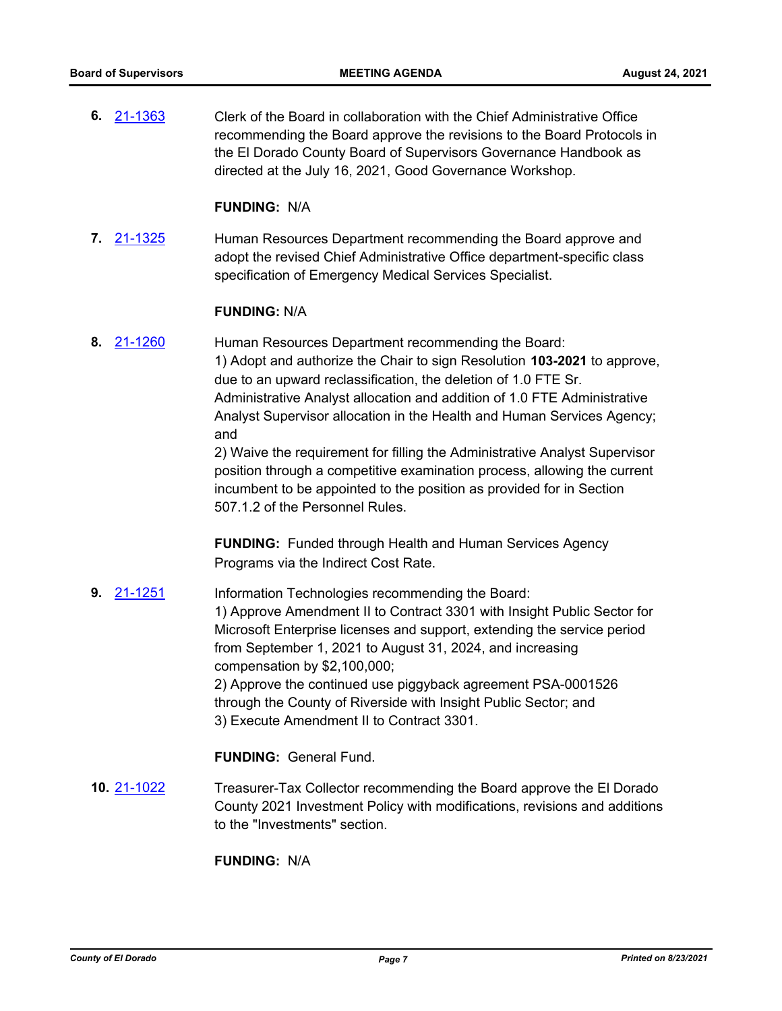**6.** [21-1363](http://eldorado.legistar.com/gateway.aspx?m=l&id=/matter.aspx?key=30258) Clerk of the Board in collaboration with the Chief Administrative Office recommending the Board approve the revisions to the Board Protocols in the El Dorado County Board of Supervisors Governance Handbook as directed at the July 16, 2021, Good Governance Workshop.

#### **FUNDING:** N/A

**7.** [21-1325](http://eldorado.legistar.com/gateway.aspx?m=l&id=/matter.aspx?key=30220) Human Resources Department recommending the Board approve and adopt the revised Chief Administrative Office department-specific class specification of Emergency Medical Services Specialist.

#### **FUNDING:** N/A

**8.** [21-1260](http://eldorado.legistar.com/gateway.aspx?m=l&id=/matter.aspx?key=30155) Human Resources Department recommending the Board: 1) Adopt and authorize the Chair to sign Resolution **103-2021** to approve, due to an upward reclassification, the deletion of 1.0 FTE Sr. Administrative Analyst allocation and addition of 1.0 FTE Administrative Analyst Supervisor allocation in the Health and Human Services Agency; and

> 2) Waive the requirement for filling the Administrative Analyst Supervisor position through a competitive examination process, allowing the current incumbent to be appointed to the position as provided for in Section 507.1.2 of the Personnel Rules.

**FUNDING:** Funded through Health and Human Services Agency Programs via the Indirect Cost Rate.

**9.** [21-1251](http://eldorado.legistar.com/gateway.aspx?m=l&id=/matter.aspx?key=30146) Information Technologies recommending the Board: 1) Approve Amendment II to Contract 3301 with Insight Public Sector for Microsoft Enterprise licenses and support, extending the service period from September 1, 2021 to August 31, 2024, and increasing compensation by \$2,100,000; 2) Approve the continued use piggyback agreement PSA-0001526 through the County of Riverside with Insight Public Sector; and 3) Execute Amendment II to Contract 3301.

## **FUNDING:** General Fund.

**10.** [21-1022](http://eldorado.legistar.com/gateway.aspx?m=l&id=/matter.aspx?key=29916) Treasurer-Tax Collector recommending the Board approve the El Dorado County 2021 Investment Policy with modifications, revisions and additions to the "Investments" section.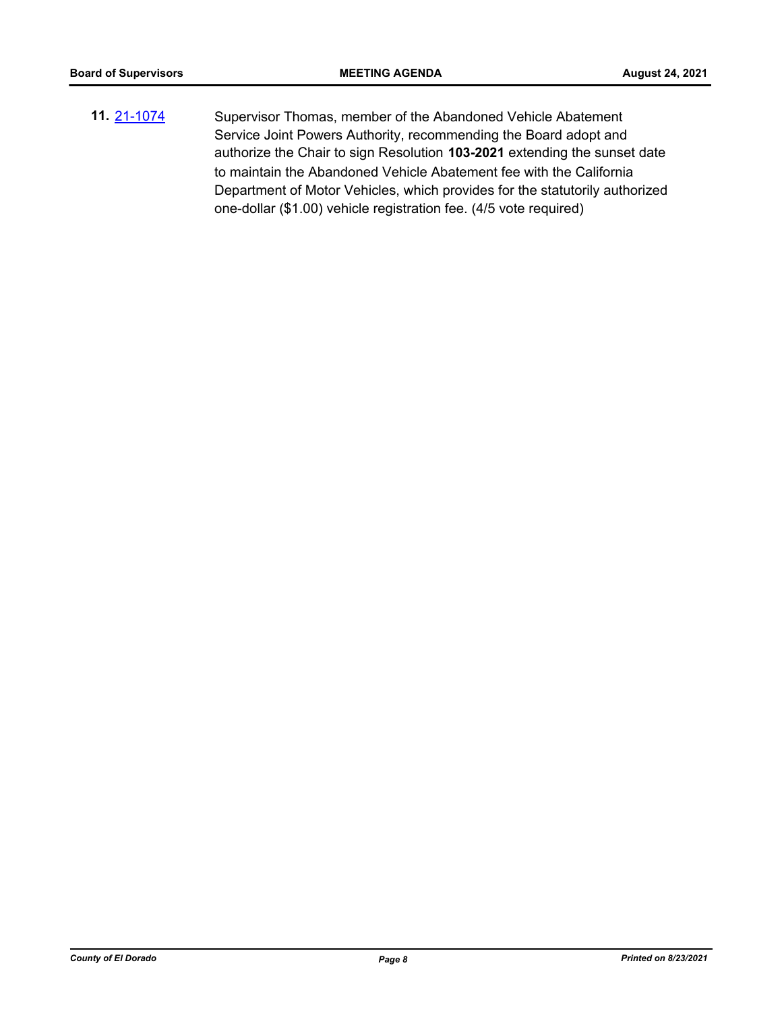**11.** [21-1074](http://eldorado.legistar.com/gateway.aspx?m=l&id=/matter.aspx?key=29968) Supervisor Thomas, member of the Abandoned Vehicle Abatement Service Joint Powers Authority, recommending the Board adopt and authorize the Chair to sign Resolution **103-2021** extending the sunset date to maintain the Abandoned Vehicle Abatement fee with the California Department of Motor Vehicles, which provides for the statutorily authorized one-dollar (\$1.00) vehicle registration fee. (4/5 vote required)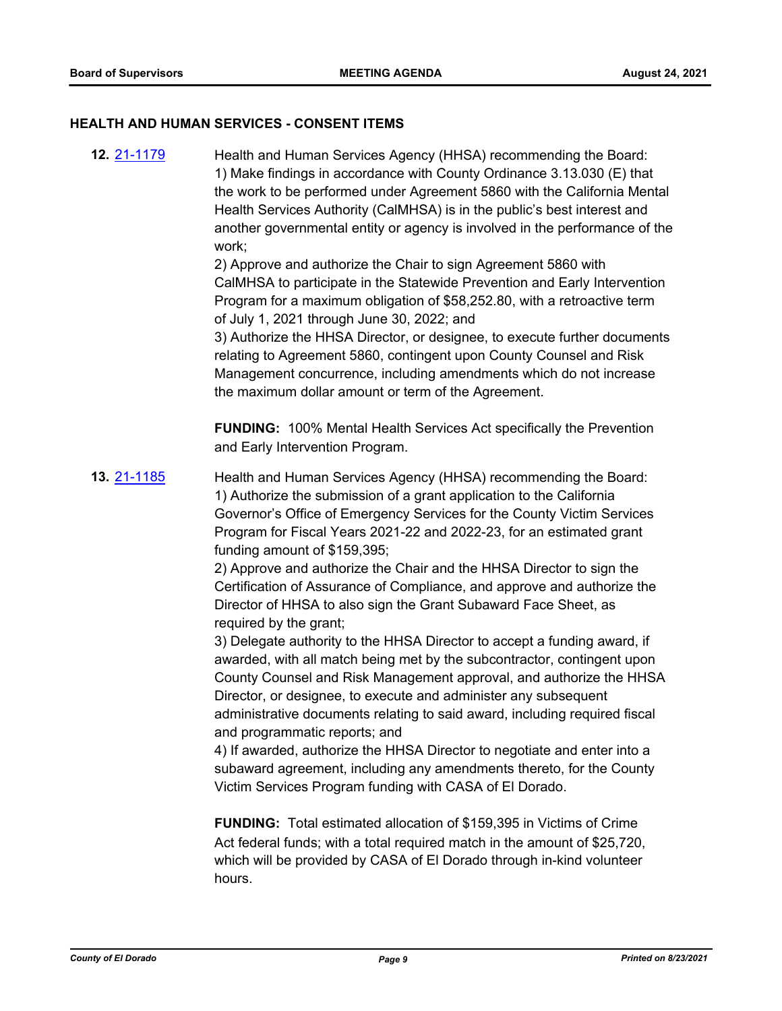#### **HEALTH AND HUMAN SERVICES - CONSENT ITEMS**

**12.** [21-1179](http://eldorado.legistar.com/gateway.aspx?m=l&id=/matter.aspx?key=30074) Health and Human Services Agency (HHSA) recommending the Board: 1) Make findings in accordance with County Ordinance 3.13.030 (E) that the work to be performed under Agreement 5860 with the California Mental Health Services Authority (CalMHSA) is in the public's best interest and another governmental entity or agency is involved in the performance of the work; 2) Approve and authorize the Chair to sign Agreement 5860 with CalMHSA to participate in the Statewide Prevention and Early Intervention Program for a maximum obligation of \$58,252.80, with a retroactive term of July 1, 2021 through June 30, 2022; and 3) Authorize the HHSA Director, or designee, to execute further documents relating to Agreement 5860, contingent upon County Counsel and Risk Management concurrence, including amendments which do not increase the maximum dollar amount or term of the Agreement. **FUNDING:** 100% Mental Health Services Act specifically the Prevention and Early Intervention Program. **13.** [21-1185](http://eldorado.legistar.com/gateway.aspx?m=l&id=/matter.aspx?key=30080) Health and Human Services Agency (HHSA) recommending the Board: 1) Authorize the submission of a grant application to the California Governor's Office of Emergency Services for the County Victim Services Program for Fiscal Years 2021-22 and 2022-23, for an estimated grant funding amount of \$159,395; 2) Approve and authorize the Chair and the HHSA Director to sign the Certification of Assurance of Compliance, and approve and authorize the Director of HHSA to also sign the Grant Subaward Face Sheet, as required by the grant; 3) Delegate authority to the HHSA Director to accept a funding award, if awarded, with all match being met by the subcontractor, contingent upon County Counsel and Risk Management approval, and authorize the HHSA Director, or designee, to execute and administer any subsequent administrative documents relating to said award, including required fiscal and programmatic reports; and 4) If awarded, authorize the HHSA Director to negotiate and enter into a subaward agreement, including any amendments thereto, for the County Victim Services Program funding with CASA of El Dorado. **FUNDING:** Total estimated allocation of \$159,395 in Victims of Crime Act federal funds; with a total required match in the amount of \$25,720, which will be provided by CASA of El Dorado through in-kind volunteer

hours.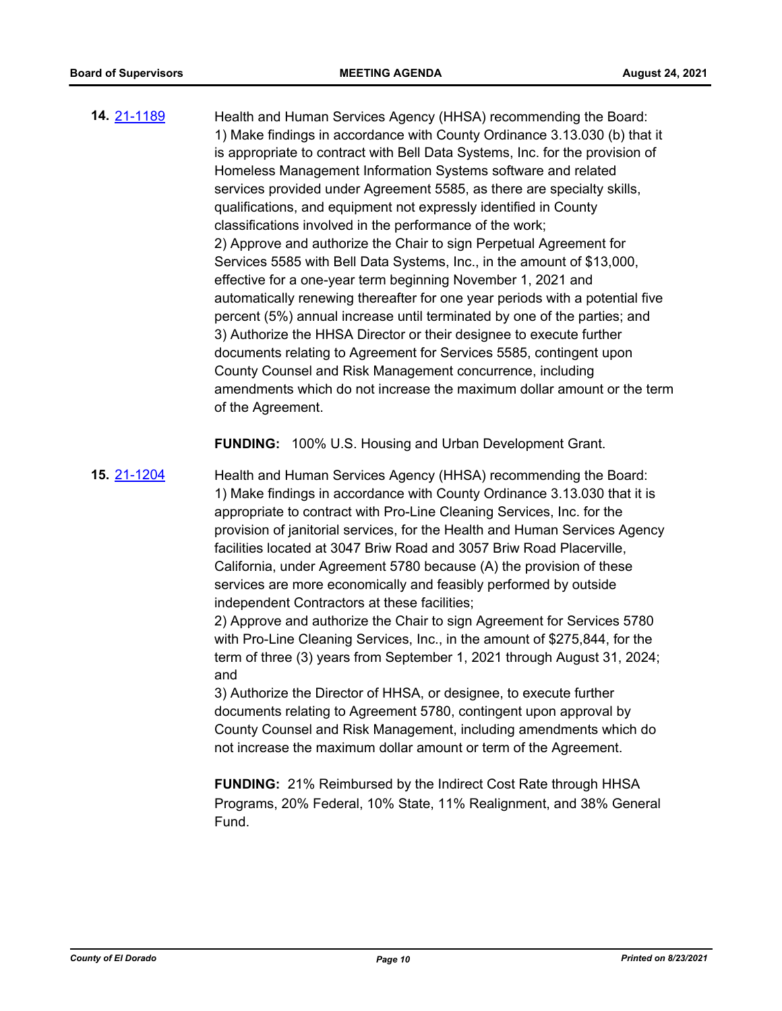**14.** [21-1189](http://eldorado.legistar.com/gateway.aspx?m=l&id=/matter.aspx?key=30084) Health and Human Services Agency (HHSA) recommending the Board: 1) Make findings in accordance with County Ordinance 3.13.030 (b) that it is appropriate to contract with Bell Data Systems, Inc. for the provision of Homeless Management Information Systems software and related services provided under Agreement 5585, as there are specialty skills, qualifications, and equipment not expressly identified in County classifications involved in the performance of the work; 2) Approve and authorize the Chair to sign Perpetual Agreement for Services 5585 with Bell Data Systems, Inc., in the amount of \$13,000, effective for a one-year term beginning November 1, 2021 and automatically renewing thereafter for one year periods with a potential five percent (5%) annual increase until terminated by one of the parties; and 3) Authorize the HHSA Director or their designee to execute further documents relating to Agreement for Services 5585, contingent upon County Counsel and Risk Management concurrence, including amendments which do not increase the maximum dollar amount or the term of the Agreement.

**FUNDING:** 100% U.S. Housing and Urban Development Grant.

**15.** [21-1204](http://eldorado.legistar.com/gateway.aspx?m=l&id=/matter.aspx?key=30099) Health and Human Services Agency (HHSA) recommending the Board: 1) Make findings in accordance with County Ordinance 3.13.030 that it is appropriate to contract with Pro-Line Cleaning Services, Inc. for the provision of janitorial services, for the Health and Human Services Agency facilities located at 3047 Briw Road and 3057 Briw Road Placerville, California, under Agreement 5780 because (A) the provision of these services are more economically and feasibly performed by outside independent Contractors at these facilities;

2) Approve and authorize the Chair to sign Agreement for Services 5780 with Pro-Line Cleaning Services, Inc., in the amount of \$275,844, for the term of three (3) years from September 1, 2021 through August 31, 2024; and

3) Authorize the Director of HHSA, or designee, to execute further documents relating to Agreement 5780, contingent upon approval by County Counsel and Risk Management, including amendments which do not increase the maximum dollar amount or term of the Agreement.

**FUNDING:** 21% Reimbursed by the Indirect Cost Rate through HHSA Programs, 20% Federal, 10% State, 11% Realignment, and 38% General Fund.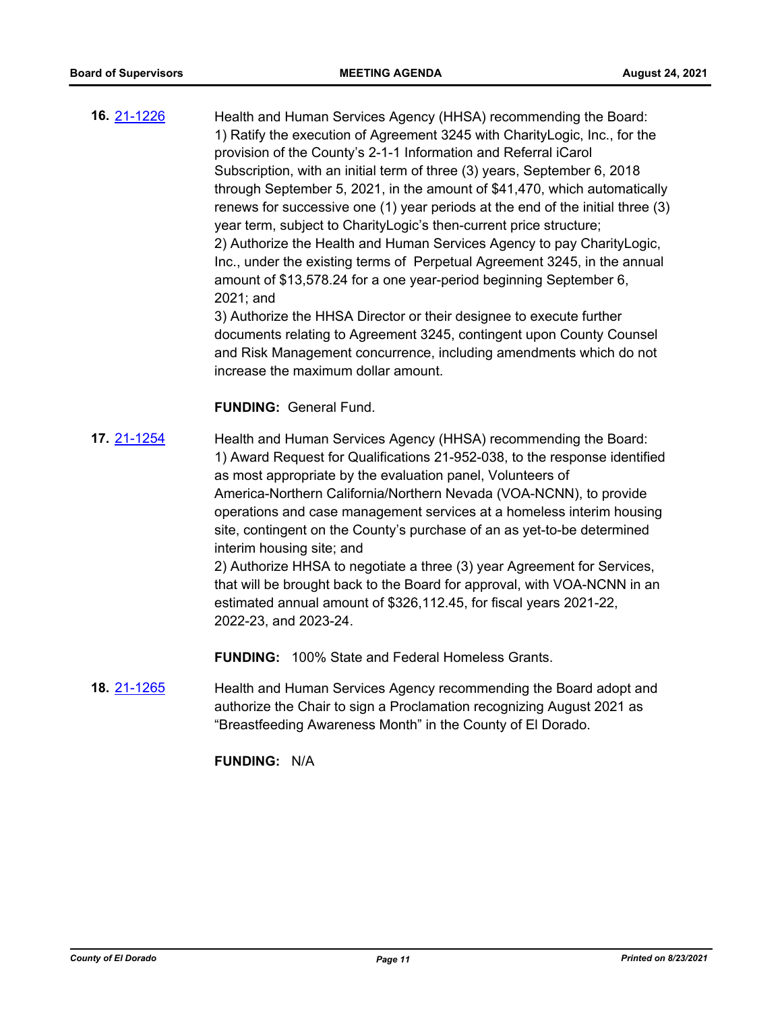**16.** [21-1226](http://eldorado.legistar.com/gateway.aspx?m=l&id=/matter.aspx?key=30121) Health and Human Services Agency (HHSA) recommending the Board: 1) Ratify the execution of Agreement 3245 with CharityLogic, Inc., for the provision of the County's 2-1-1 Information and Referral iCarol Subscription, with an initial term of three (3) years, September 6, 2018 through September 5, 2021, in the amount of \$41,470, which automatically renews for successive one (1) year periods at the end of the initial three (3) year term, subject to CharityLogic's then-current price structure; 2) Authorize the Health and Human Services Agency to pay CharityLogic, Inc., under the existing terms of Perpetual Agreement 3245, in the annual amount of \$13,578.24 for a one year-period beginning September 6, 2021; and

3) Authorize the HHSA Director or their designee to execute further documents relating to Agreement 3245, contingent upon County Counsel and Risk Management concurrence, including amendments which do not increase the maximum dollar amount.

#### **FUNDING:** General Fund.

**17.** [21-1254](http://eldorado.legistar.com/gateway.aspx?m=l&id=/matter.aspx?key=30149) Health and Human Services Agency (HHSA) recommending the Board: 1) Award Request for Qualifications 21-952-038, to the response identified as most appropriate by the evaluation panel, Volunteers of America-Northern California/Northern Nevada (VOA-NCNN), to provide operations and case management services at a homeless interim housing site, contingent on the County's purchase of an as yet-to-be determined interim housing site; and 2) Authorize HHSA to negotiate a three (3) year Agreement for Services,

that will be brought back to the Board for approval, with VOA-NCNN in an estimated annual amount of \$326,112.45, for fiscal years 2021-22, 2022-23, and 2023-24.

**FUNDING:** 100% State and Federal Homeless Grants.

**18.** [21-1265](http://eldorado.legistar.com/gateway.aspx?m=l&id=/matter.aspx?key=30160) Health and Human Services Agency recommending the Board adopt and authorize the Chair to sign a Proclamation recognizing August 2021 as "Breastfeeding Awareness Month" in the County of El Dorado.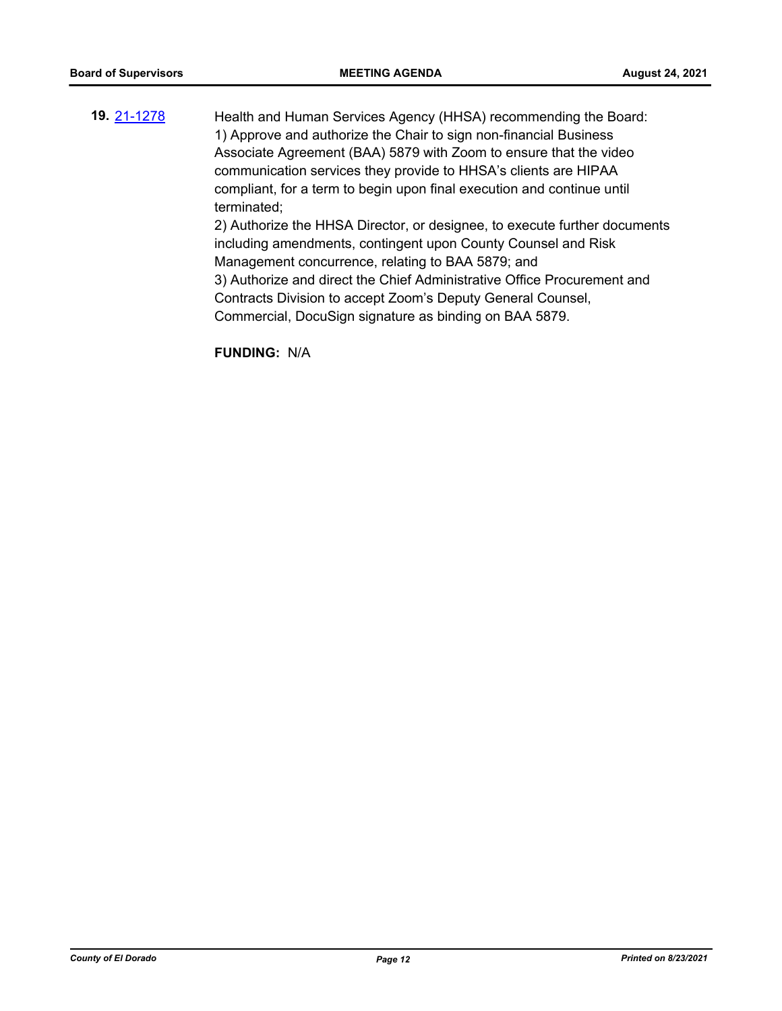**19.** [21-1278](http://eldorado.legistar.com/gateway.aspx?m=l&id=/matter.aspx?key=30173) Health and Human Services Agency (HHSA) recommending the Board: 1) Approve and authorize the Chair to sign non-financial Business Associate Agreement (BAA) 5879 with Zoom to ensure that the video communication services they provide to HHSA's clients are HIPAA compliant, for a term to begin upon final execution and continue until terminated; 2) Authorize the HHSA Director, or designee, to execute further documents including amendments, contingent upon County Counsel and Risk Management concurrence, relating to BAA 5879; and 3) Authorize and direct the Chief Administrative Office Procurement and Contracts Division to accept Zoom's Deputy General Counsel,

Commercial, DocuSign signature as binding on BAA 5879.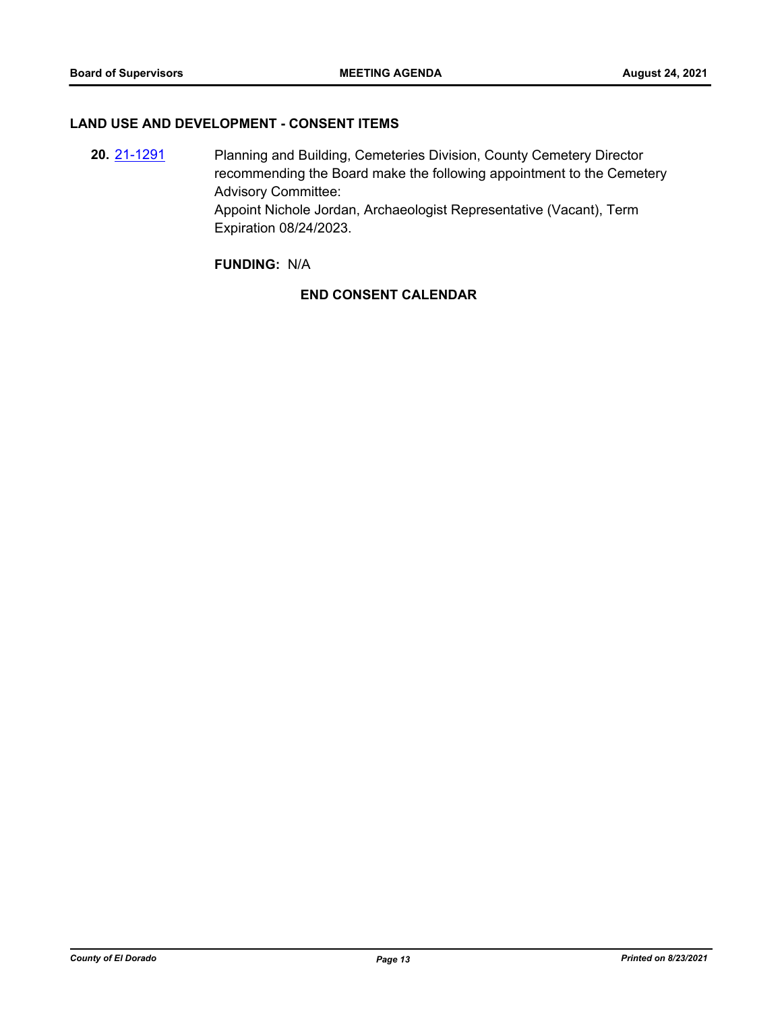#### **LAND USE AND DEVELOPMENT - CONSENT ITEMS**

**20.** [21-1291](http://eldorado.legistar.com/gateway.aspx?m=l&id=/matter.aspx?key=30186) Planning and Building, Cemeteries Division, County Cemetery Director recommending the Board make the following appointment to the Cemetery Advisory Committee: Appoint Nichole Jordan, Archaeologist Representative (Vacant), Term Expiration 08/24/2023.

## **FUNDING:** N/A

## **END CONSENT CALENDAR**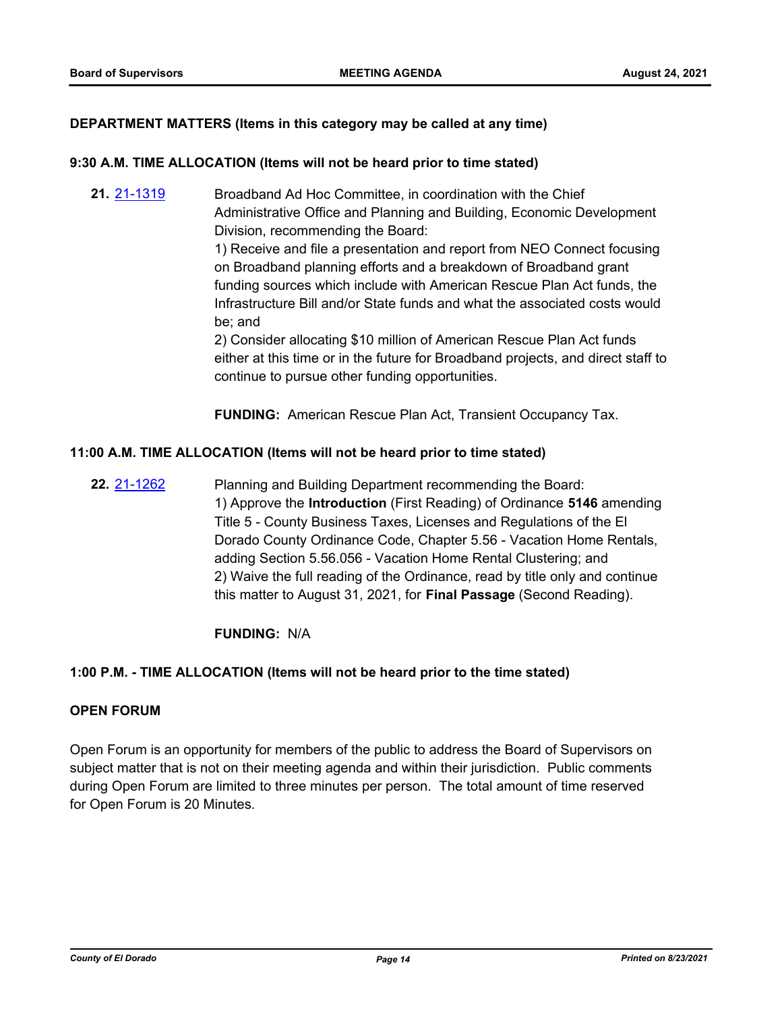## **DEPARTMENT MATTERS (Items in this category may be called at any time)**

#### **9:30 A.M. TIME ALLOCATION (Items will not be heard prior to time stated)**

**21.** [21-1319](http://eldorado.legistar.com/gateway.aspx?m=l&id=/matter.aspx?key=30214) Broadband Ad Hoc Committee, in coordination with the Chief Administrative Office and Planning and Building, Economic Development Division, recommending the Board:

> 1) Receive and file a presentation and report from NEO Connect focusing on Broadband planning efforts and a breakdown of Broadband grant funding sources which include with American Rescue Plan Act funds, the Infrastructure Bill and/or State funds and what the associated costs would be; and

2) Consider allocating \$10 million of American Rescue Plan Act funds either at this time or in the future for Broadband projects, and direct staff to continue to pursue other funding opportunities.

**FUNDING:** American Rescue Plan Act, Transient Occupancy Tax.

#### **11:00 A.M. TIME ALLOCATION (Items will not be heard prior to time stated)**

**22.** [21-1262](http://eldorado.legistar.com/gateway.aspx?m=l&id=/matter.aspx?key=30157) Planning and Building Department recommending the Board: 1) Approve the **Introduction** (First Reading) of Ordinance **5146** amending Title 5 - County Business Taxes, Licenses and Regulations of the El Dorado County Ordinance Code, Chapter 5.56 - Vacation Home Rentals, adding Section 5.56.056 - Vacation Home Rental Clustering; and 2) Waive the full reading of the Ordinance, read by title only and continue this matter to August 31, 2021, for **Final Passage** (Second Reading).

#### **FUNDING:** N/A

#### **1:00 P.M. - TIME ALLOCATION (Items will not be heard prior to the time stated)**

#### **OPEN FORUM**

Open Forum is an opportunity for members of the public to address the Board of Supervisors on subject matter that is not on their meeting agenda and within their jurisdiction. Public comments during Open Forum are limited to three minutes per person. The total amount of time reserved for Open Forum is 20 Minutes.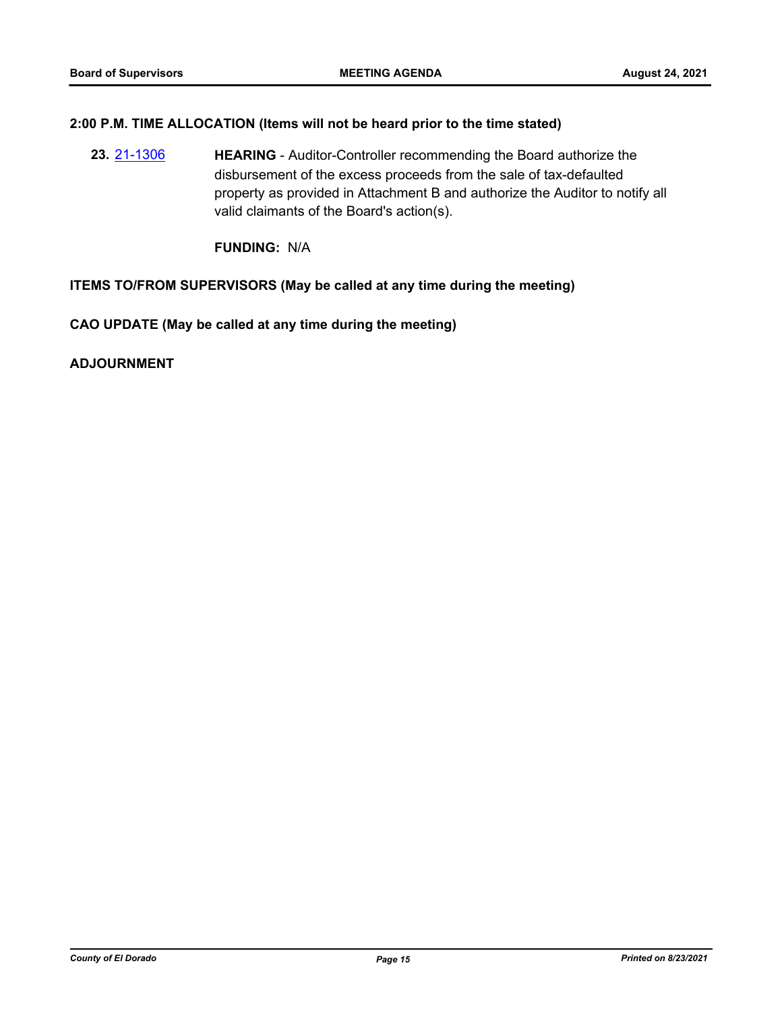## **2:00 P.M. TIME ALLOCATION (Items will not be heard prior to the time stated)**

**23.** [21-1306](http://eldorado.legistar.com/gateway.aspx?m=l&id=/matter.aspx?key=30201) **HEARING** - Auditor-Controller recommending the Board authorize the disbursement of the excess proceeds from the sale of tax-defaulted property as provided in Attachment B and authorize the Auditor to notify all valid claimants of the Board's action(s).

**FUNDING:** N/A

#### **ITEMS TO/FROM SUPERVISORS (May be called at any time during the meeting)**

**CAO UPDATE (May be called at any time during the meeting)**

**ADJOURNMENT**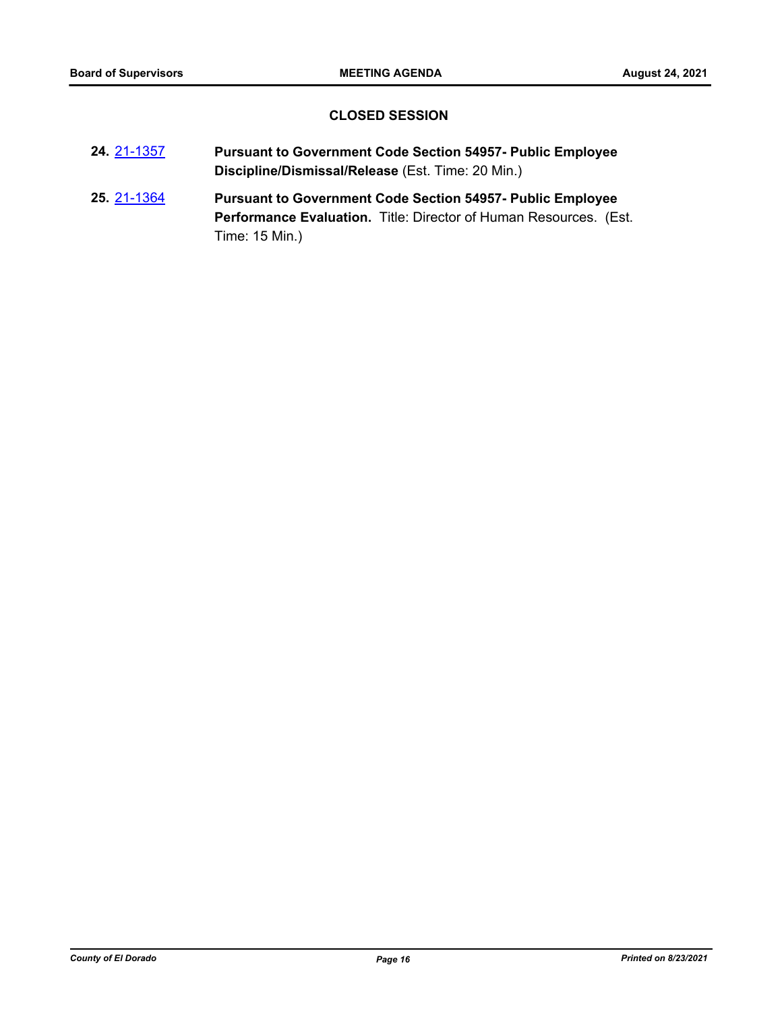## **CLOSED SESSION**

| 24 21-1357 | <b>Pursuant to Government Code Section 54957- Public Employee</b> |
|------------|-------------------------------------------------------------------|
|            | Discipline/Dismissal/Release (Est. Time: 20 Min.)                 |

**25.** [21-1364](http://eldorado.legistar.com/gateway.aspx?m=l&id=/matter.aspx?key=30259) **Pursuant to Government Code Section 54957- Public Employee Performance Evaluation.** Title: Director of Human Resources. (Est. Time: 15 Min.)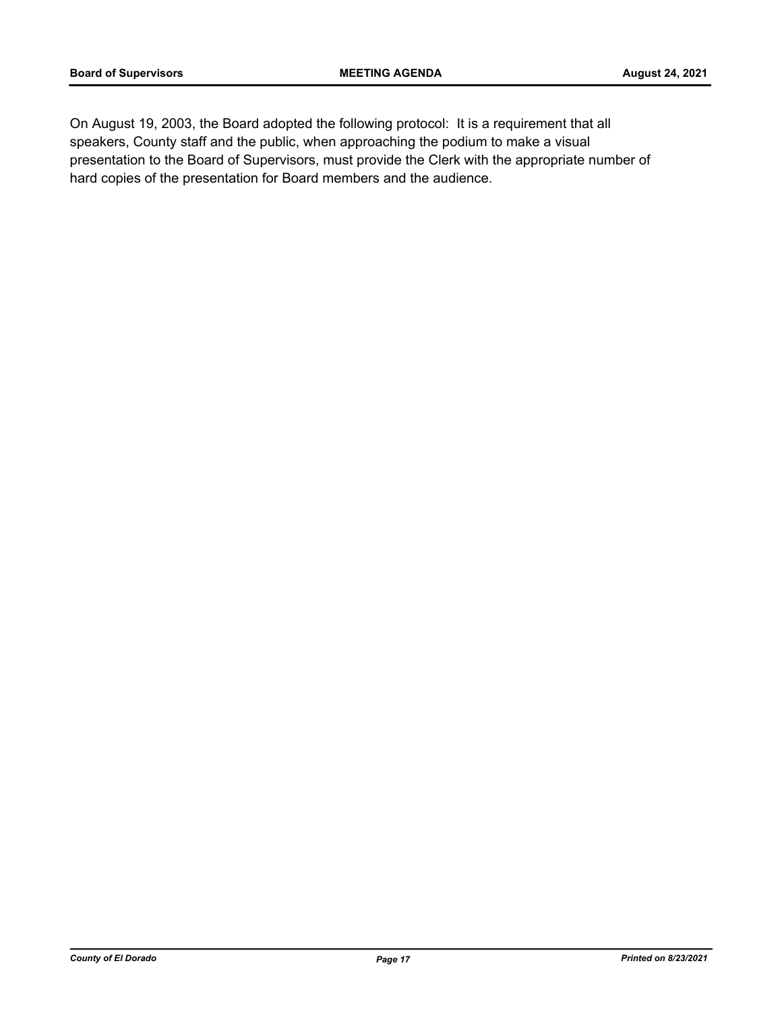On August 19, 2003, the Board adopted the following protocol: It is a requirement that all speakers, County staff and the public, when approaching the podium to make a visual presentation to the Board of Supervisors, must provide the Clerk with the appropriate number of hard copies of the presentation for Board members and the audience.